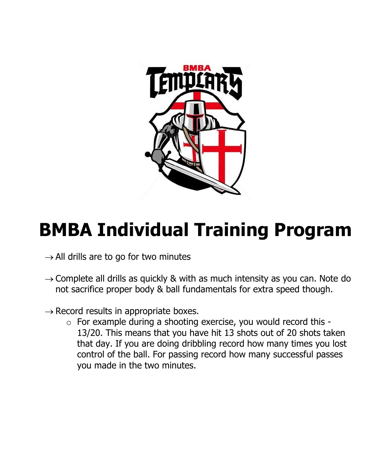

## **BMBA Individual Training Program**

- $\rightarrow$  All drills are to go for two minutes
- $\rightarrow$  Complete all drills as quickly & with as much intensity as you can. Note do not sacrifice proper body & ball fundamentals for extra speed though.
- $\rightarrow$  Record results in appropriate boxes.
	- $\circ$  For example during a shooting exercise, you would record this -13/20. This means that you have hit 13 shots out of 20 shots taken that day. If you are doing dribbling record how many times you lost control of the ball. For passing record how many successful passes you made in the two minutes.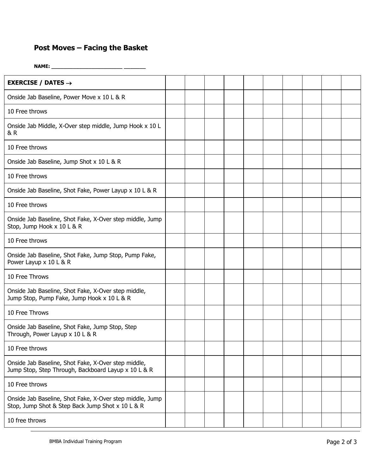## **Post Moves – Facing the Basket**

**NAME: \_\_\_\_\_\_\_\_\_\_\_\_\_\_\_\_\_\_\_\_\_\_\_ \_\_\_\_\_\_\_**

| EXERCISE / DATES $\rightarrow$                                                                               |  |  |  |  |  |
|--------------------------------------------------------------------------------------------------------------|--|--|--|--|--|
| Onside Jab Baseline, Power Move x 10 L & R                                                                   |  |  |  |  |  |
| 10 Free throws                                                                                               |  |  |  |  |  |
| Onside Jab Middle, X-Over step middle, Jump Hook x 10 L<br>& R                                               |  |  |  |  |  |
| 10 Free throws                                                                                               |  |  |  |  |  |
| Onside Jab Baseline, Jump Shot x 10 L & R                                                                    |  |  |  |  |  |
| 10 Free throws                                                                                               |  |  |  |  |  |
| Onside Jab Baseline, Shot Fake, Power Layup x 10 L & R                                                       |  |  |  |  |  |
| 10 Free throws                                                                                               |  |  |  |  |  |
| Onside Jab Baseline, Shot Fake, X-Over step middle, Jump<br>Stop, Jump Hook x 10 L & R                       |  |  |  |  |  |
| 10 Free throws                                                                                               |  |  |  |  |  |
| Onside Jab Baseline, Shot Fake, Jump Stop, Pump Fake,<br>Power Layup x 10 L & R                              |  |  |  |  |  |
| 10 Free Throws                                                                                               |  |  |  |  |  |
| Onside Jab Baseline, Shot Fake, X-Over step middle,<br>Jump Stop, Pump Fake, Jump Hook x 10 L & R            |  |  |  |  |  |
| 10 Free Throws                                                                                               |  |  |  |  |  |
| Onside Jab Baseline, Shot Fake, Jump Stop, Step<br>Through, Power Layup x 10 L & R                           |  |  |  |  |  |
| 10 Free throws                                                                                               |  |  |  |  |  |
| Onside Jab Baseline, Shot Fake, X-Over step middle,<br>Jump Stop, Step Through, Backboard Layup x 10 L & R   |  |  |  |  |  |
| 10 Free throws                                                                                               |  |  |  |  |  |
| Onside Jab Baseline, Shot Fake, X-Over step middle, Jump<br>Stop, Jump Shot & Step Back Jump Shot x 10 L & R |  |  |  |  |  |
| 10 free throws                                                                                               |  |  |  |  |  |